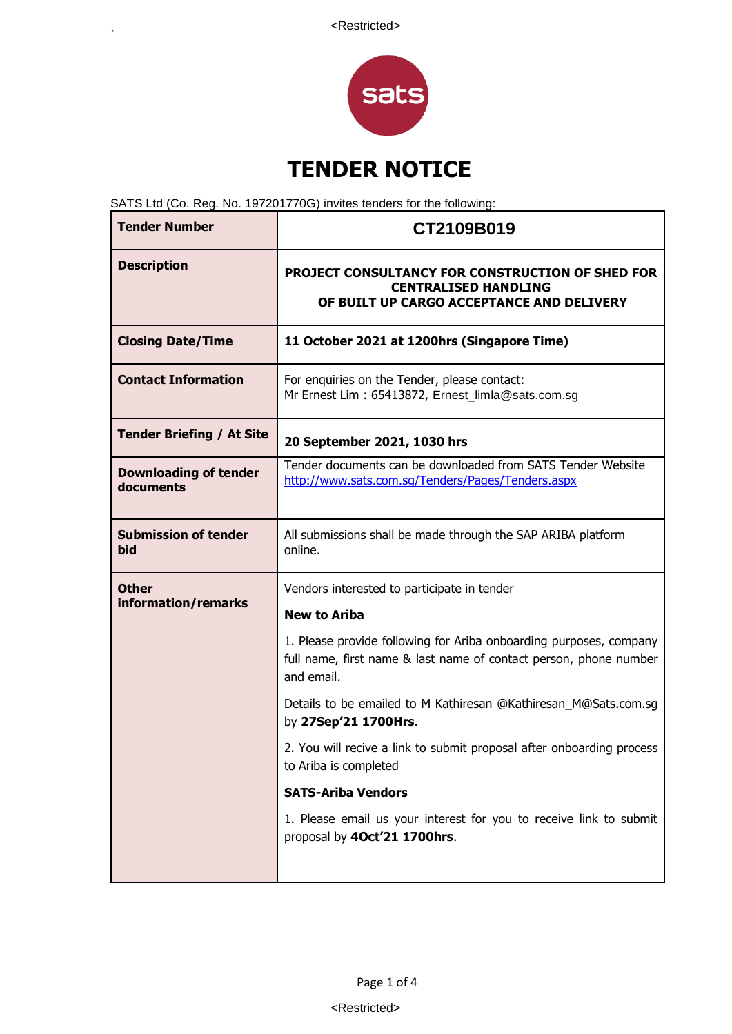

# **TENDER NOTICE**

SATS Ltd (Co. Reg. No. 197201770G) invites tenders for the following:

 $\ddot{\phantom{0}}$ 

| <b>Tender Number</b>                      | CT2109B019                                                                                                                                            |
|-------------------------------------------|-------------------------------------------------------------------------------------------------------------------------------------------------------|
| <b>Description</b>                        | <b>PROJECT CONSULTANCY FOR CONSTRUCTION OF SHED FOR</b><br><b>CENTRALISED HANDLING</b><br>OF BUILT UP CARGO ACCEPTANCE AND DELIVERY                   |
| <b>Closing Date/Time</b>                  | 11 October 2021 at 1200hrs (Singapore Time)                                                                                                           |
| <b>Contact Information</b>                | For enquiries on the Tender, please contact:<br>Mr Ernest Lim: 65413872, Ernest_limla@sats.com.sg                                                     |
| <b>Tender Briefing / At Site</b>          | 20 September 2021, 1030 hrs                                                                                                                           |
| <b>Downloading of tender</b><br>documents | Tender documents can be downloaded from SATS Tender Website<br>http://www.sats.com.sq/Tenders/Pages/Tenders.aspx                                      |
| <b>Submission of tender</b><br>bid        | All submissions shall be made through the SAP ARIBA platform<br>online.                                                                               |
| <b>Other</b><br>information/remarks       | Vendors interested to participate in tender<br><b>New to Ariba</b>                                                                                    |
|                                           | 1. Please provide following for Ariba onboarding purposes, company<br>full name, first name & last name of contact person, phone number<br>and email. |
|                                           | Details to be emailed to M Kathiresan @Kathiresan_M@Sats.com.sg<br>by 27Sep'21 1700Hrs.                                                               |
|                                           | 2. You will recive a link to submit proposal after onboarding process<br>to Ariba is completed                                                        |
|                                           | <b>SATS-Ariba Vendors</b>                                                                                                                             |
|                                           | 1. Please email us your interest for you to receive link to submit<br>proposal by 40ct'21 1700hrs.                                                    |
|                                           |                                                                                                                                                       |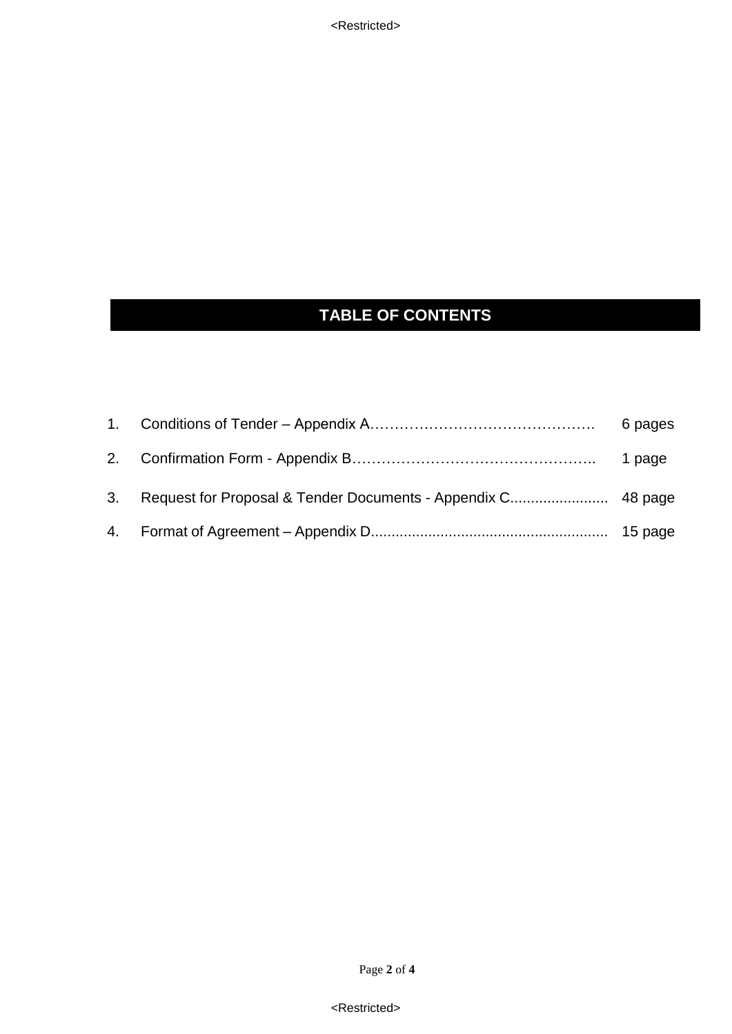## **TABLE OF CONTENTS**

<Restricted>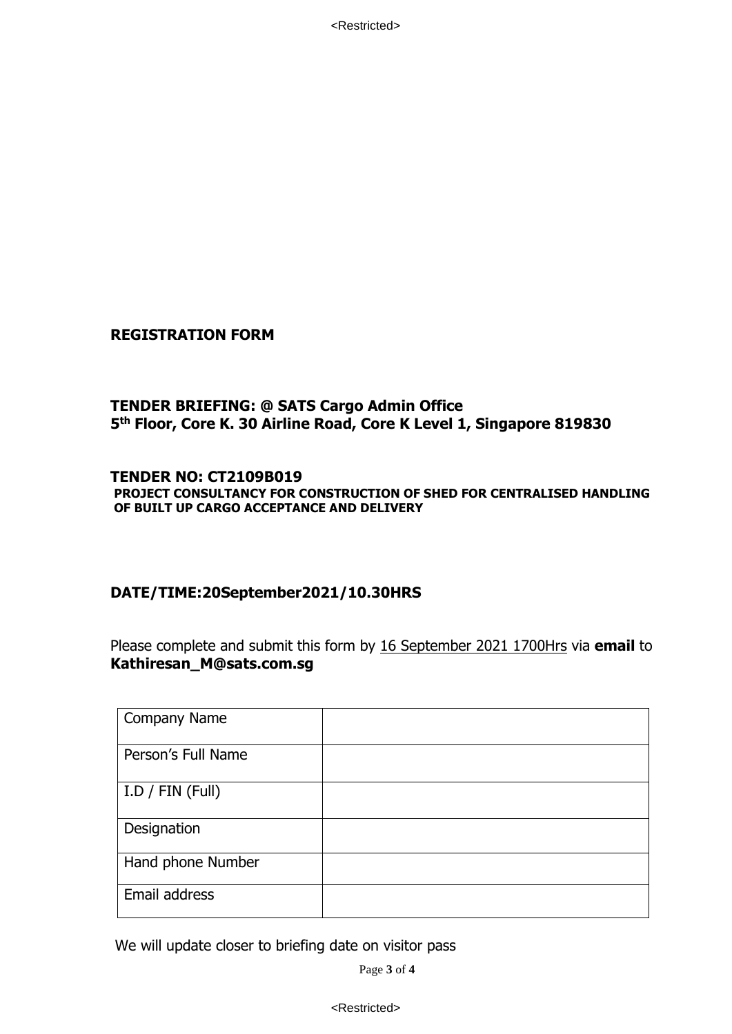<Restricted>

#### **REGISTRATION FORM**

#### **TENDER BRIEFING: @ SATS Cargo Admin Office 5 th Floor, Core K. 30 Airline Road, Core K Level 1, Singapore 819830**

#### **TENDER NO: CT2109B019 PROJECT CONSULTANCY FOR CONSTRUCTION OF SHED FOR CENTRALISED HANDLING OF BUILT UP CARGO ACCEPTANCE AND DELIVERY**

#### **DATE/TIME:20September2021/10.30HRS**

Please complete and submit this form by 16 September 2021 1700Hrs via **email** to **Kathiresan\_M@sats.com.sg**

| <b>Company Name</b>      |  |
|--------------------------|--|
| Person's Full Name       |  |
| $I.D$ / $FIN$ ( $Full$ ) |  |
| Designation              |  |
| Hand phone Number        |  |
| Email address            |  |

We will update closer to briefing date on visitor pass

Page **3** of **4**

<Restricted>